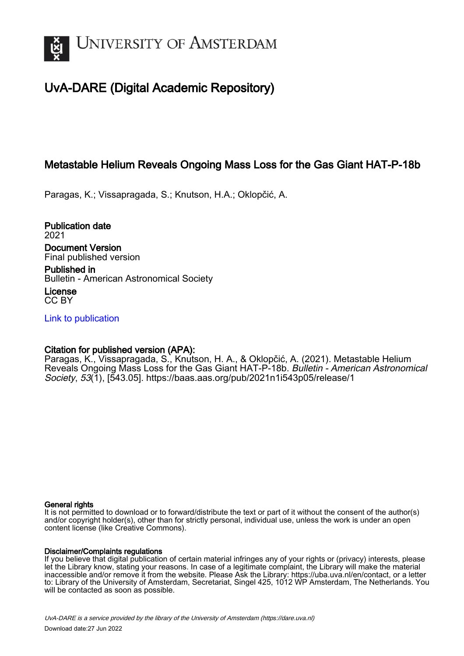

## UvA-DARE (Digital Academic Repository)

## Metastable Helium Reveals Ongoing Mass Loss for the Gas Giant HAT-P-18b

Paragas, K.; Vissapragada, S.; Knutson, H.A.; Oklopčić, A.

Publication date 2021 Document Version Final published version

Published in Bulletin - American Astronomical Society

License CC BY

[Link to publication](https://dare.uva.nl/personal/pure/en/publications/metastable-helium-reveals-ongoing-mass-loss-for-the-gas-giant-hatp18b(d89f1767-be6c-4b7e-b785-8b69a04f0c93).html)

### Citation for published version (APA):

Paragas, K., Vissapragada, S., Knutson, H. A., & Oklopčić, A. (2021). Metastable Helium Reveals Ongoing Mass Loss for the Gas Giant HAT-P-18b. Bulletin - American Astronomical Society, 53(1), [543.05]. <https://baas.aas.org/pub/2021n1i543p05/release/1>

#### General rights

It is not permitted to download or to forward/distribute the text or part of it without the consent of the author(s) and/or copyright holder(s), other than for strictly personal, individual use, unless the work is under an open content license (like Creative Commons).

#### Disclaimer/Complaints regulations

If you believe that digital publication of certain material infringes any of your rights or (privacy) interests, please let the Library know, stating your reasons. In case of a legitimate complaint, the Library will make the material inaccessible and/or remove it from the website. Please Ask the Library: https://uba.uva.nl/en/contact, or a letter to: Library of the University of Amsterdam, Secretariat, Singel 425, 1012 WP Amsterdam, The Netherlands. You will be contacted as soon as possible.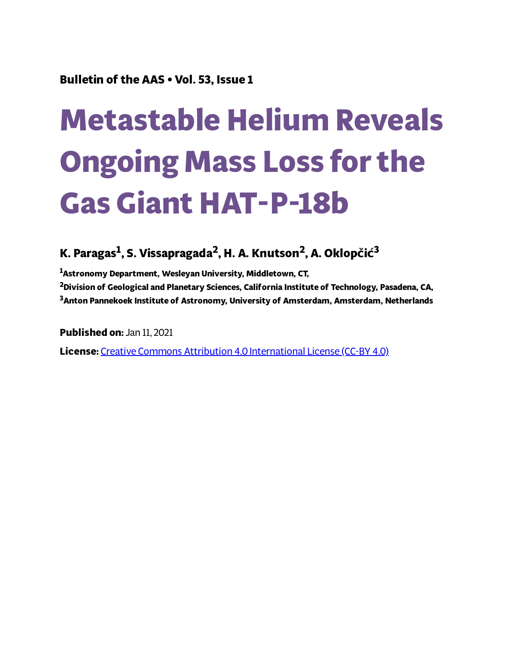## **Bulletin of the AAS • Vol. 53, Issue 1**

# **Metastable Helium Reveals Ongoing Mass Loss for the Gas Giant HAT-P-18b**

## **K. Paragas 1 , S. Vissapragada 2 , H. A. Knutson 2 , A. Oklopčić 3**

**<sup>1</sup>Astronomy Department, Wesleyan University, Middletown, CT, <sup>2</sup>Division of Geological and Planetary Sciences, California Institute of Technology, Pasadena, CA, <sup>3</sup>Anton Pannekoek Institute of Astronomy, University of Amsterdam, Amsterdam, Netherlands**

**Published on:** Jan 11, 2021

**License:** Creative Commons Attribution 4.0 [International](https://creativecommons.org/licenses/by/4.0/) License (CC-BY 4.0)